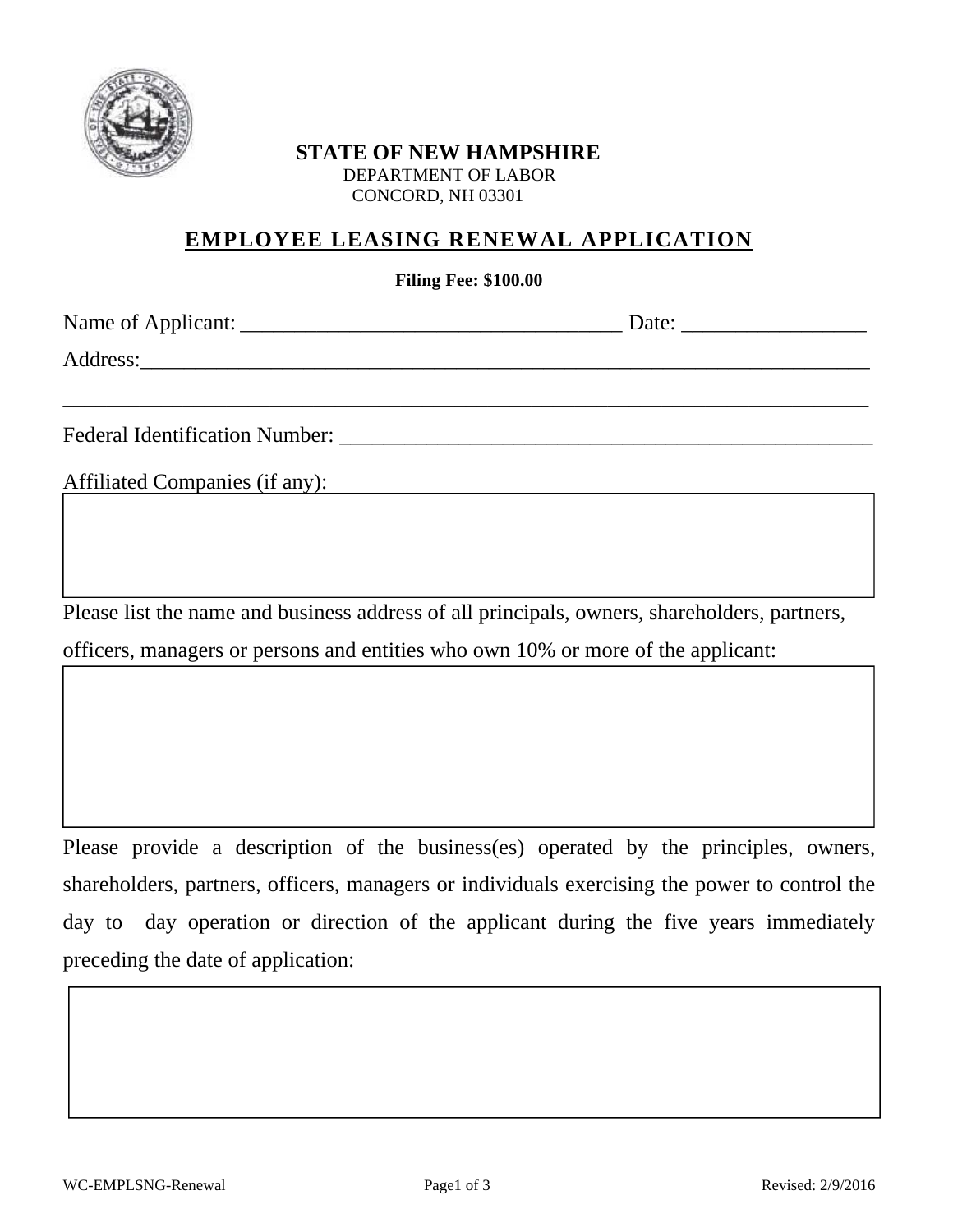

## **STATE OF NEW HAMPSHIRE**  DEPARTMENT OF LABOR CONCORD, NH 03301

## **EMPLOYEE LEASING RENEWAL APPLICATION**

## **Filing Fee: \$100.00**

\_\_\_\_\_\_\_\_\_\_\_\_\_\_\_\_\_\_\_\_\_\_\_\_\_\_\_\_\_\_\_\_\_\_\_\_\_\_\_\_\_\_\_\_\_\_\_\_\_\_\_\_\_\_\_\_\_\_\_\_\_\_\_\_\_\_\_\_\_\_\_\_\_\_

Name of Applicant: <u>and a set of the set of the set of the set of the set of the set of the set of the set of the set of the set of the set of the set of the set of the set of the set of the set of the set of the set of th</u>

Address:\_\_\_\_\_\_\_\_\_\_\_\_\_\_\_\_\_\_\_\_\_\_\_\_\_\_\_\_\_\_\_\_\_\_\_\_\_\_\_\_\_\_\_\_\_\_\_\_\_\_\_\_\_\_\_\_\_\_\_\_\_\_\_\_\_\_\_

 $\overline{\phantom{a}}$ 

Federal Identification Number: \_\_\_\_\_\_\_\_\_\_\_\_\_\_\_\_\_\_\_\_\_\_\_\_\_\_\_\_\_\_\_\_\_\_\_\_\_\_\_\_\_\_\_\_\_\_\_\_\_

Affiliated Companies (if any):

Please list the name and business address of all principals, owners, shareholders, partners, officers, managers or persons and entities who own 10% or more of the applicant:

Please provide a description of the business(es) operated by the principles, owners, shareholders, partners, officers, managers or individuals exercising the power to control the day to day operation or direction of the applicant during the five years immediately preceding the date of application: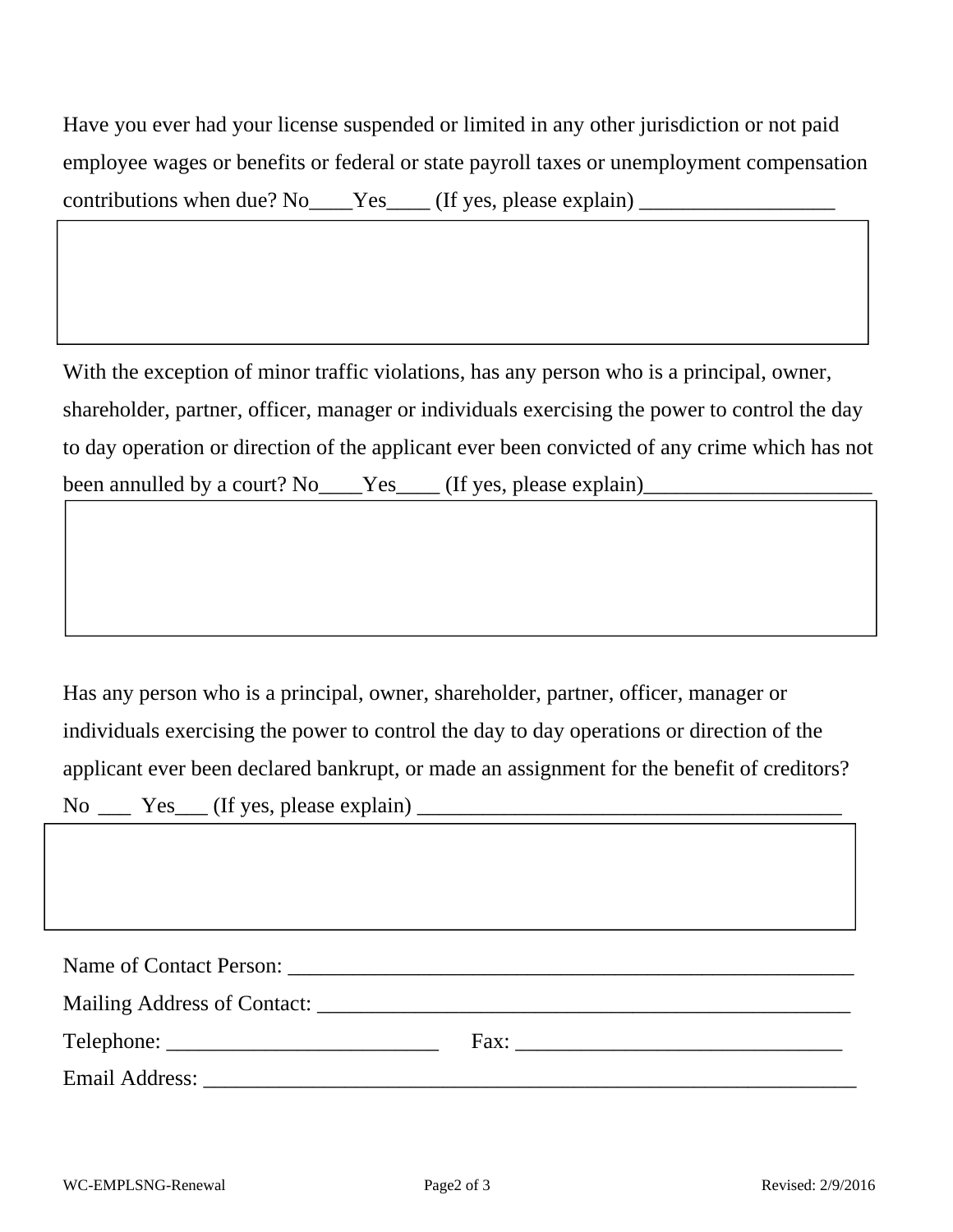Have you ever had your license suspended or limited in any other jurisdiction or not paid employee wages or benefits or federal or state payroll taxes or unemployment compensation contributions when due? No Yes (If yes, please explain) \_\_\_\_\_\_\_\_\_\_\_\_\_\_\_\_\_\_\_\_\_\_\_\_\_

With the exception of minor traffic violations, has any person who is a principal, owner, shareholder, partner, officer, manager or individuals exercising the power to control the day to day operation or direction of the applicant ever been convicted of any crime which has not been annulled by a court? No\_\_\_\_Yes\_\_\_\_ (If yes, please explain)\_\_\_\_\_\_\_\_\_\_\_\_\_\_\_\_\_

Has any person who is a principal, owner, shareholder, partner, officer, manager or individuals exercising the power to control the day to day operations or direction of the applicant ever been declared bankrupt, or made an assignment for the benefit of creditors?  $No \_\_\_\_\_\_\_\_\_\_\_\_\_\_\_\_\_$  (If yes, please explain)  $\_\_\_\_\_\_\_\_\_\_\_\_\_\_\_\_\_\_$ 

| Fax: $\frac{1}{\sqrt{1-\frac{1}{2}} \cdot \frac{1}{\sqrt{1-\frac{1}{2}} \cdot \frac{1}{\sqrt{1-\frac{1}{2}} \cdot \frac{1}{\sqrt{1-\frac{1}{2}} \cdot \frac{1}{\sqrt{1-\frac{1}{2}} \cdot \frac{1}{\sqrt{1-\frac{1}{2}} \cdot \frac{1}{\sqrt{1-\frac{1}{2}} \cdot \frac{1}{\sqrt{1-\frac{1}{2}} \cdot \frac{1}{\sqrt{1-\frac{1}{2}} \cdot \frac{1}{\sqrt{1-\frac{1}{2}} \cdot \frac{1}{\sqrt{1-\frac{1}{2}} \cdot \frac{1}{\sqrt{1-\frac{1}{2}} \$ |
|----------------------------------------------------------------------------------------------------------------------------------------------------------------------------------------------------------------------------------------------------------------------------------------------------------------------------------------------------------------------------------------------------------------------------------------------------|
|                                                                                                                                                                                                                                                                                                                                                                                                                                                    |